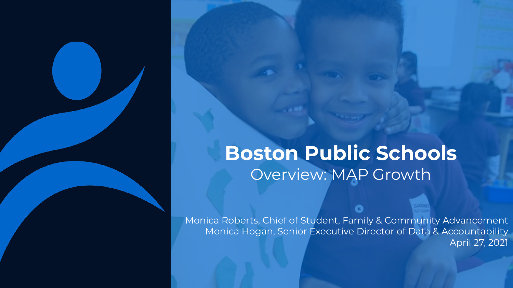### **Boston Public Schools** Overview: MAP Growth

Monica Roberts, Chief of Student, Family & Community Advancement Monica Hogan, Senior Executive Director of Data & Accountability April 27, 2021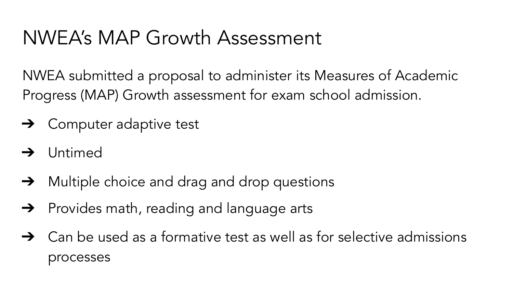## NWEA's MAP Growth Assessment

NWEA submitted a proposal to administer its Measures of Academic Progress (MAP) Growth assessment for exam school admission.

- $\rightarrow$  Computer adaptive test
- ➔ Untimed
- ➔ Multiple choice and drag and drop questions
- **→** Provides math, reading and language arts
- $\rightarrow$  Can be used as a formative test as well as for selective admissions processes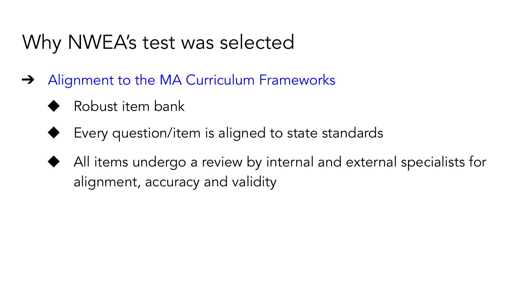## Why NWEA's test was selected

- **→** Alignment to the MA Curriculum Frameworks
	- Robust item bank
	- Every question/item is aligned to state standards
	- All items undergo a review by internal and external specialists for alignment, accuracy and validity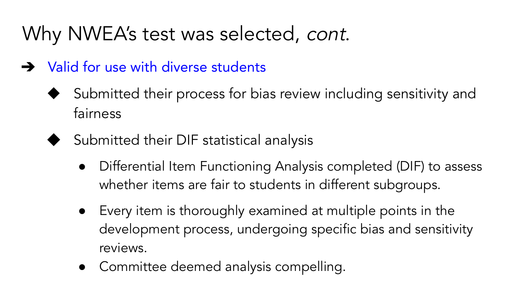# Why NWEA's test was selected, cont.

- **→** Valid for use with diverse students
	- Submitted their process for bias review including sensitivity and fairness
	- Submitted their DIF statistical analysis
		- Differential Item Functioning Analysis completed (DIF) to assess whether items are fair to students in different subgroups.
		- Every item is thoroughly examined at multiple points in the development process, undergoing specific bias and sensitivity reviews.
		- Committee deemed analysis compelling.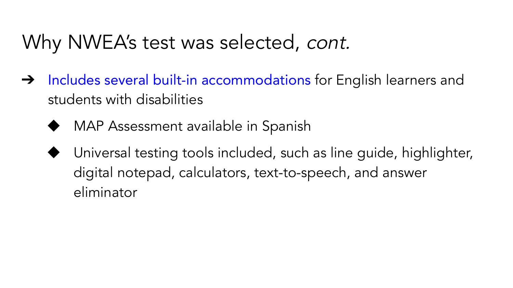### Why NWEA's test was selected, cont.

- → Includes several built-in accommodations for English learners and students with disabilities
	- MAP Assessment available in Spanish
	- Universal testing tools included, such as line guide, highlighter, digital notepad, calculators, text-to-speech, and answer eliminator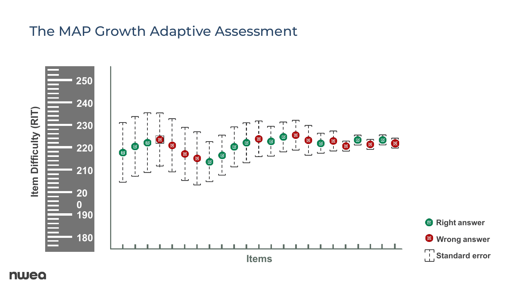#### The MAP Growth Adaptive Assessment



nwea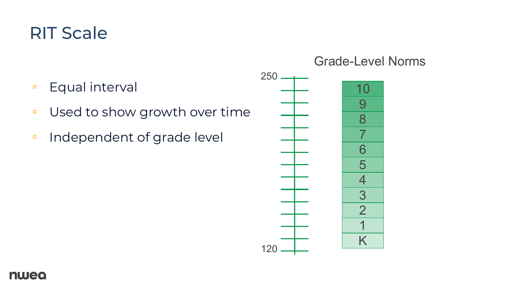#### RIT Scale

- Equal interval
- Used to show growth over time
- Independent of grade level

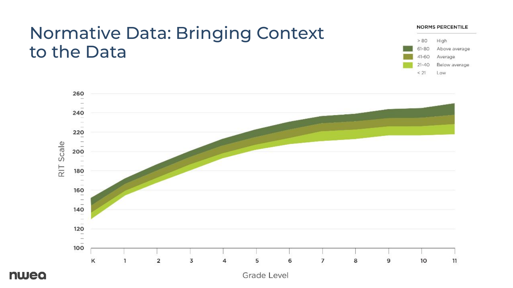#### Normative Data: Bringing Context to the Data





nwea

Grade Level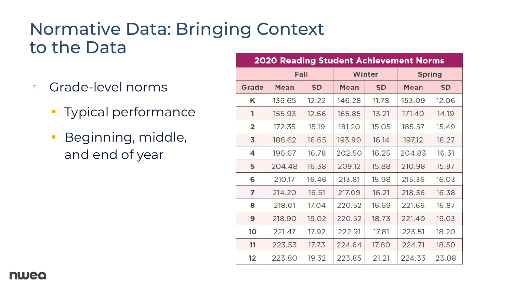#### Normative Data: Bringing Context to the Data

- Grade-level norms
	- Typical performance
	- **·** Beginning, middle, and end of year

| <b>2020 Reading Student Achievement Norms</b> |        |           |        |           |               |           |  |
|-----------------------------------------------|--------|-----------|--------|-----------|---------------|-----------|--|
|                                               |        | Fall      |        | Winter    | <b>Spring</b> |           |  |
| Grade                                         | Mean   | <b>SD</b> | Mean   | <b>SD</b> | Mean          | <b>SD</b> |  |
| Κ                                             | 136.65 | 12.22     | 146.28 | 11.78     | 153.09        | 12.06     |  |
| 1                                             | 155.93 | 12.66     | 165.85 | 13.21     | 171.40        | 14.19     |  |
| $\overline{2}$                                | 172.35 | 15.19     | 181.20 | 15.05     | 185.57        | 15.49     |  |
| 3                                             | 186.62 | 16.65     | 193.90 | 16.14     | 197.12        | 16.27     |  |
| 4                                             | 196.67 | 16.78     | 202.50 | 16.25     | 204.83        | 16.31     |  |
| 5                                             | 204.48 | 16.38     | 209.12 | 15.88     | 210.98        | 15.97     |  |
| 6                                             | 210.17 | 16.46     | 213.81 | 15.98     | 215.36        | 16.03     |  |
| 7                                             | 214.20 | 16.51     | 217.09 | 16.21     | 218.36        | 16.38     |  |
| 8                                             | 218.01 | 17.04     | 220.52 | 16.69     | 221.66        | 16.87     |  |
| 9                                             | 218.90 | 19.02     | 220.52 | 18.73     | 221.40        | 19.03     |  |
| 10                                            | 221.47 | 17.92     | 222.91 | 17.81     | 223.51        | 18.20     |  |
| 11                                            | 223.53 | 17.73     | 224.64 | 17.80     | 224.71        | 18.50     |  |
| 12                                            | 223.80 | 19.32     | 223.85 | 21.21     | 224.33        | 23.08     |  |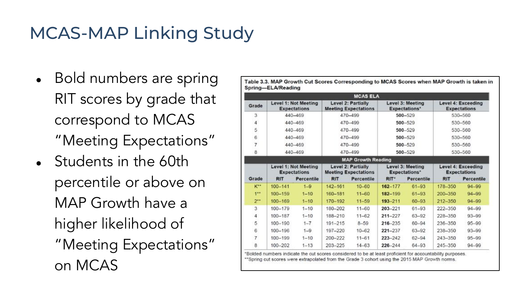### MCAS-MAP Linking Study

- Bold numbers are spring RIT scores by grade that correspond to MCAS "Meeting Expectations"
- $\bullet$  Students in the 60th percentile or above on MAP Growth have a higher likelihood of "Meeting Expectations" on MCAS

|                |                                             |                                             |                                                   | <b>MCAS ELA</b>                                          |                                          |                                          |                                                  |                                           |  |
|----------------|---------------------------------------------|---------------------------------------------|---------------------------------------------------|----------------------------------------------------------|------------------------------------------|------------------------------------------|--------------------------------------------------|-------------------------------------------|--|
| Grade          |                                             | Level 1: Not Meeting<br><b>Expectations</b> |                                                   | <b>Level 2: Partially</b><br><b>Meeting Expectations</b> |                                          | Level 3: Meeting<br><b>Expectations*</b> |                                                  | Level 4: Exceeding<br><b>Expectations</b> |  |
| 3              |                                             | 440-469                                     | 470-499                                           |                                                          | 500-529                                  |                                          | 530-560                                          |                                           |  |
| 4              | 440-469                                     |                                             | 470-499                                           |                                                          | $500 - 529$                              |                                          | 530-560                                          |                                           |  |
| 5              | 440-469                                     |                                             | 470-499                                           |                                                          | 500-529                                  |                                          | 530-560                                          |                                           |  |
| 6              | 440-469                                     |                                             | 470-499                                           |                                                          | 500-529                                  |                                          | 530-560                                          |                                           |  |
| 7              | 440-469                                     |                                             | 470-499                                           |                                                          | 500-529                                  |                                          | 530-560                                          |                                           |  |
| 8              | 440-469                                     |                                             | 470-499                                           |                                                          | 500-529                                  |                                          | 530-560                                          |                                           |  |
|                |                                             |                                             |                                                   | <b>MAP Growth Reading</b>                                |                                          |                                          |                                                  |                                           |  |
|                | Level 1: Not Meeting<br><b>Expectations</b> |                                             | Level 2: Partially<br><b>Meeting Expectations</b> |                                                          | Level 3: Meeting<br><b>Expectations*</b> |                                          | <b>Level 4: Exceeding</b><br><b>Expectations</b> |                                           |  |
| Grade          | <b>RIT</b>                                  | <b>Percentile</b>                           | <b>RIT</b>                                        | Percentile                                               | RIT <sup>*</sup>                         | Percentile                               | <b>RIT</b>                                       | <b>Percentile</b>                         |  |
| $K^{**}$       | $100 - 141$                                 | $1 - 9$                                     | 142-161                                           | $10 - 60$                                                | $162 - 177$                              | $61 - 93$                                | 178-350                                          | $94 - 99$                                 |  |
| 1**            | $100 - 159$                                 | $1 - 10$                                    | 160-181                                           | $11 - 60$                                                | 182-199                                  | $61 - 93$                                | 200-350                                          | $94 - 99$                                 |  |
| $2^{**}$       | $100 - 169$                                 | $1 - 10$                                    | 170-192                                           | $11 - 59$                                                | $193 - 211$                              | $60 - 93$                                | $212 - 350$                                      | $94 - 99$                                 |  |
| $\overline{3}$ | $100 - 179$                                 | $1 - 10$                                    | 180-202                                           | $11 - 60$                                                | 203-221                                  | $61 - 93$                                | 222-350                                          | $94 - 99$                                 |  |
| 4              | $100 - 187$                                 | $1 - 10$                                    | 188-210                                           | $11 - 62$                                                | $211 - 227$                              | 63-92                                    | 228-350                                          | $93 - 99$                                 |  |
| 5              | $100 - 190$                                 | $1 - 7$                                     | $191 - 215$                                       | $8 - 59$                                                 | 216-235                                  | $60 - 94$                                | 236-350                                          | $95 - 99$                                 |  |
| 6              | $100 - 196$                                 | $1 - 9$                                     | 197-220                                           | $10 - 62$                                                | 221-237                                  | 63-92                                    | 238-350                                          | $93 - 99$                                 |  |
| $\overline{7}$ | 100-199                                     | $1 - 10$                                    | 200-222                                           | $11 - 61$                                                | $223 - 242$                              | $62 - 94$                                | 243-350                                          | $95 - 99$                                 |  |
| 8              | 100-202                                     | $1 - 13$                                    | 203-225                                           | $14 - 63$                                                | 226-244                                  | 64-93                                    | 245-350                                          | $94 - 99$                                 |  |

Table 3.3, MAP Growth Cut Scores Corresponding to MCAS Scores when MAP Growth is taken in

ited from the Grade 3 cohort using the 2015 MAP Growth norms